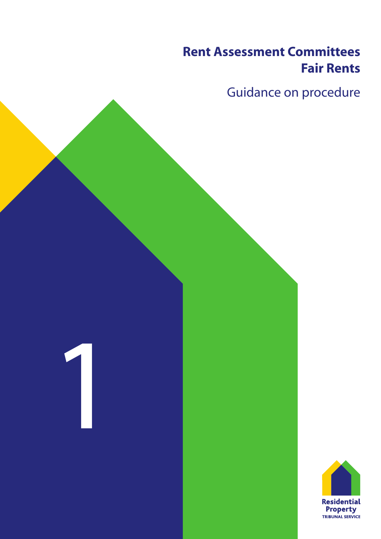# **Rent Assessment Committees** Rent Assessment Committees<br>Fair Rents<br>Guidance on procedure<br>Conditions of the Section of the Section of the Section of the Section of the Section of the Section of the Section of the Section of the Section of the Section o **Fair Rents**

and the company of the company of the company of the company of the company of the company of the company of the company of the company of the company of the company of the company of the company of the company of the comp

**Contract Contract** 

the contract of the contract of

# danco on procoduro Guidance on procedure

1

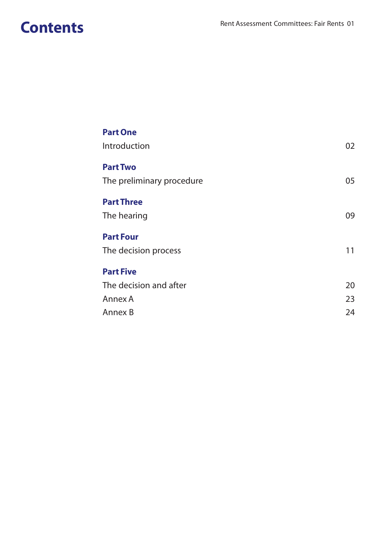# **Contents**

| <b>Part One</b><br>Introduction | 02 |
|---------------------------------|----|
| <b>Part Two</b>                 |    |
| The preliminary procedure       | 05 |
| <b>Part Three</b>               |    |
| The hearing                     | 09 |
| <b>Part Four</b>                |    |
| The decision process            | 11 |
| <b>Part Five</b>                |    |
| The decision and after          | 20 |
| Annex A                         | 23 |
| Annex B                         | 24 |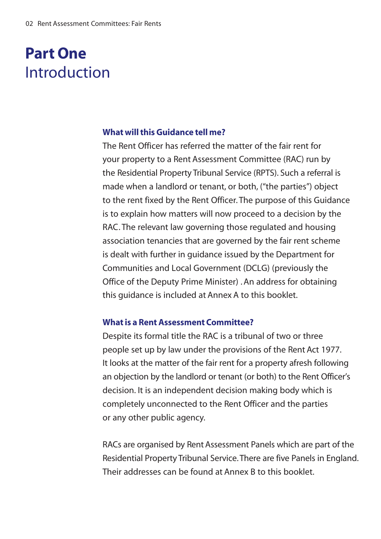# Introduction **Part One**

#### **What will this Guidance tell me?**

The Rent Officer has referred the matter of the fair rent for your property to a Rent Assessment Committee (RAC) run by the Residential Property Tribunal Service (RPTS). Such a referral is made when a landlord or tenant, or both, ("the parties") object to the rent fixed by the Rent Officer. The purpose of this Guidance is to explain how matters will now proceed to a decision by the RAC. The relevant law governing those regulated and housing association tenancies that are governed by the fair rent scheme is dealt with further in quidance issued by the Department for Communities and Local Government (DCLG) (previously the Office of the Deputy Prime Minister) . An address for obtaining this quidance is included at Annex A to this booklet.

### **What is a Rent Assessment Committee?**

Despite its formal title the RAC is a tribunal of two or three people set up by law under the provisions of the Rent Act 1977. It looks at the matter of the fair rent for a property afresh following an objection by the landlord or tenant (or both) to the Rent Officer's decision. It is an independent decision making body which is completely unconnected to the Rent Officer and the parties or any other public agency.

RACs are organised by Rent Assessment Panels which are part of the Residential Property Tribunal Service. There are five Panels in England. Their addresses can be found at Annex B to this booklet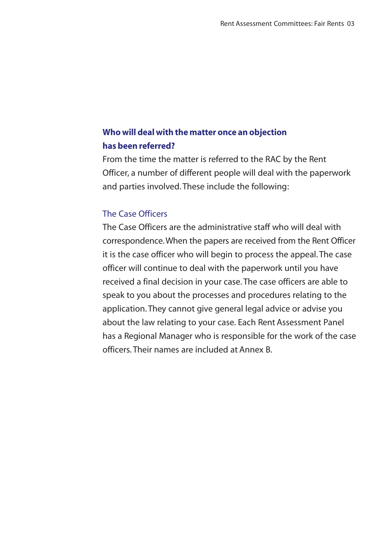# **Who will deal with the matter once an objection has been referred?**

From the time the matter is referred to the RAC by the Rent Officer, a number of different people will deal with the paperwork and parties involved. These include the following:

# The Case Officers

The Case Officers are the administrative staff who will deal with correspondence. When the papers are received from the Rent Officer it is the case officer who will begin to process the appeal. The case officer will continue to deal with the paperwork until you have received a final decision in your case. The case officers are able to speak to you about the processes and procedures relating to the application. They cannot give general legal advice or advise you about the law relating to your case. Each Rent Assessment Panel has a Regional Manager who is responsible for the work of the case officers Their names are included at Annex B.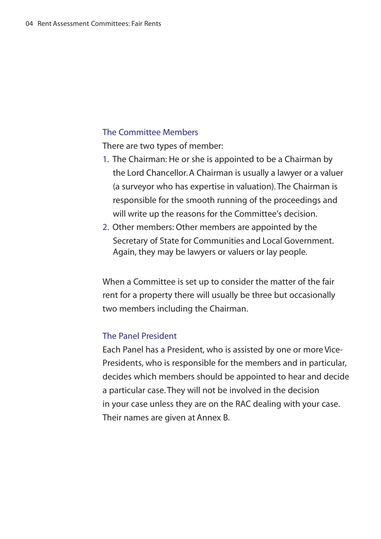#### The Committee Members

There are two types of member:

- 1. The Chairman: He or she is appointed to be a Chairman by the Lord Chancellor. A Chairman is usually a lawyer or a valuer (a survevor who has expertise in valuation). The Chairman is responsible for the smooth running of the proceedings and will write up the reasons for the Committee's decision.
- 2. Other members: Other members are appointed by the Secretary of State for Communities and Local Government. Again, they may be lawyers or valuers or lay people.

When a Committee is set up to consider the matter of the fair rent for a property there will usually be three but occasionally two members including the Chairman.

# The Panel President

Each Panel has a President, who is assisted by one or more Vice-Presidents, who is responsible for the members and in particular. decides which members should be appointed to hear and decide a particular case. They will not be involved in the decision in your case unless they are on the RAC dealing with your case. Their names are given at Annex B.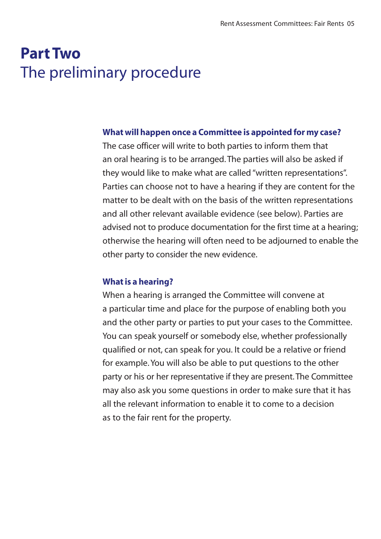# **Part Two** The preliminary procedure

## What will happen once a Committee is appointed for my case?

The case officer will write to both parties to inform them that an oral hearing is to be arranged. The parties will also be asked if they would like to make what are called "written representations". Parties can choose not to have a hearing if they are content for the matter to be dealt with on the basis of the written representations and all other relevant available evidence (see below). Parties are advised not to produce documentation for the first time at a hearing: otherwise the hearing will often need to be adiourned to enable the other party to consider the new evidence.

#### **What is a hearing?**

When a hearing is arranged the Committee will convene at a particular time and place for the purpose of enabling both you and the other party or parties to put your cases to the Committee. You can speak yourself or somebody else, whether professionally qualified or not, can speak for you. It could be a relative or friend for example. You will also be able to put questions to the other party or his or her representative if they are present. The Committee may also ask you some questions in order to make sure that it has all the relevant information to enable it to come to a decision as to the fair rent for the property.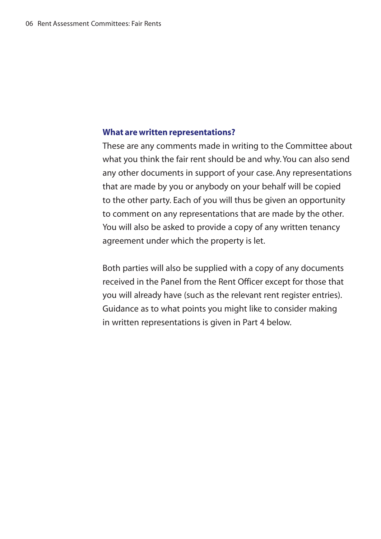#### **What are written representations?**

These are any comments made in writing to the Committee about what you think the fair rent should be and why. You can also send any other documents in support of your case. Any representations that are made by you or anybody on your behalf will be copied to the other party. Each of you will thus be given an opportunity to comment on any representations that are made by the other. You will also be asked to provide a copy of any written tenancy agreement under which the property is let.

Both parties will also be supplied with a copy of any documents received in the Panel from the Rent Officer except for those that you will already have (such as the relevant rent register entries). Guidance as to what points you might like to consider making in written representations is given in Part 4 below.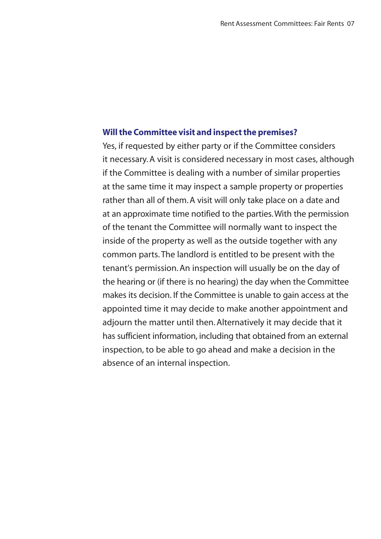### **Will the Committee visit and inspect the premises?**

Yes, if requested by either party or if the Committee considers it necessary. A visit is considered necessary in most cases, although If the Committee is dealing with a number of similar properties at the same time it may inspect a sample property or properties rather than all of them. A visit will only take place on a date and at an approximate time notified to the parties. With the permission of the tenant the Committee will normally want to inspect the inside of the property as well as the outside together with any common parts. The landlord is entitled to be present with the tenant's permission. An inspection will usually be on the day of the hearing or (if there is no hearing) the day when the Committee makes its decision. If the Committee is unable to gain access at the appointed time it may decide to make another appointment and adiourn the matter until then. Alternatively it may decide that it has sufficient information, including that obtained from an external inspection, to be able to go ahead and make a decision in the absence of an internal inspection.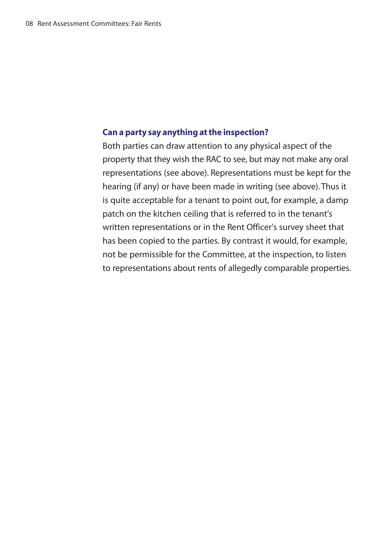## **Can a party say anything at the inspection?**

Both parties can draw attention to any physical aspect of the property that they wish the RAC to see, but may not make any oral representations (see above). Representations must be kept for the hearing (if any) or have been made in writing (see above). Thus it is quite acceptable for a tenant to point out, for example, a damp patch on the kitchen ceiling that is referred to in the tenant's written representations or in the Rent Officer's survey sheet that has been copied to the parties. By contrast it would, for example, not be permissible for the Committee, at the inspection, to listen to representations about rents of allegedly comparable properties.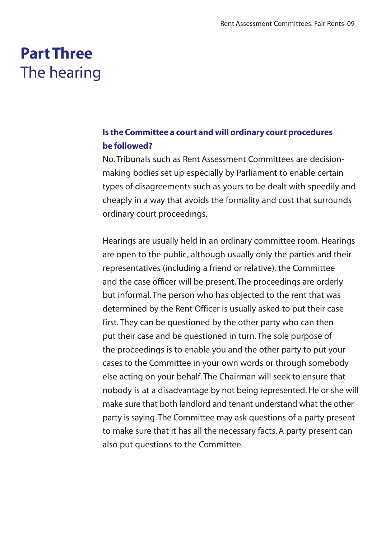# The hearing **Part Three**

# **Is the Committee a court and will ordinary court procedures be followed?**

No Tribunals such as Rent Assessment Committees are decisionmaking bodies set up especially by Parliament to enable certain types of disagreements such as yours to be dealt with speedily and cheaply in a way that avoids the formality and cost that surrounds ordinary court proceedings.

Hearings are usually held in an ordinary committee room. Hearings are open to the public, although usually only the parties and their representatives (including a friend or relative), the Committee and the case officer will be present. The proceedings are orderly but informal. The person who has obiected to the rent that was determined by the Rent Officer is usually asked to put their case first. They can be questioned by the other party who can then put their case and be questioned in turn. The sole purpose of the proceedings is to enable you and the other party to put your cases to the Committee in your own words or through somebody else acting on your behalf. The Chairman will seek to ensure that nobody is at a disadvantage by not being represented. He or she will make sure that both landlord and tenant understand what the other party is saying. The Committee may ask questions of a party present to make sure that it has all the necessary facts. A party present can also put questions to the Committee.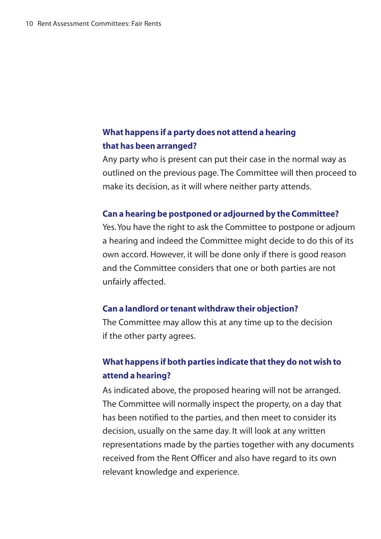# **What happens if a party does not attend a hearing that has been arranged?**

Any party who is present can put their case in the normal way as outlined on the previous page. The Committee will then proceed to make its decision, as it will where neither party attends.

#### **Can a hearing be postponed or adjourned by the Committee?**

Yes. You have the right to ask the Committee to postpone or adiourn a hearing and indeed the Committee might decide to do this of its own accord. However, it will be done only if there is good reason and the Committee considers that one or both parties are not unfairly affected.

#### **Can a landlord or tenant withdraw their objection?**

The Committee may allow this at any time up to the decision if the other party agrees.

# **What happens if both parties indicate that they do not wish to attend a hearing?**

As indicated above, the proposed hearing will not be arranged. The Committee will normally inspect the property, on a day that has been notified to the parties, and then meet to consider its decision, usually on the same day. It will look at any written representations made by the parties together with any documents received from the Rent Officer and also have regard to its own relevant knowledge and experience.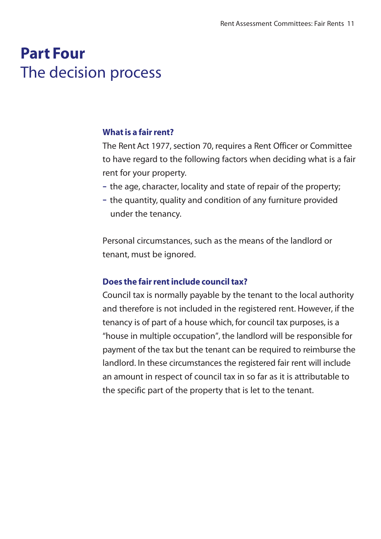# The decision process **Part Four**

#### **What is a fair rent?**

The Rent Act 1977, section 70, requires a Rent Officer or Committee to have regard to the following factors when deciding what is a fair rent for your property.

- the age, character, locality and state of repair of the property:
- the quantity, quality and condition of any furniture provided under the tenancy.

Personal circumstances, such as the means of the landlord or tenant, must be janored.

## **Does the fair rent include council tax?**

Council tax is normally payable by the tenant to the local authority and therefore is not included in the registered rent. However, if the tenancy is of part of a house which, for council tax purposes, is a "house in multiple occupation", the landlord will be responsible for payment of the tax but the tenant can be required to reimburse the landlord. In these circumstances the registered fair rent will include an amount in respect of council tax in so far as it is attributable to the specific part of the property that is let to the tenant.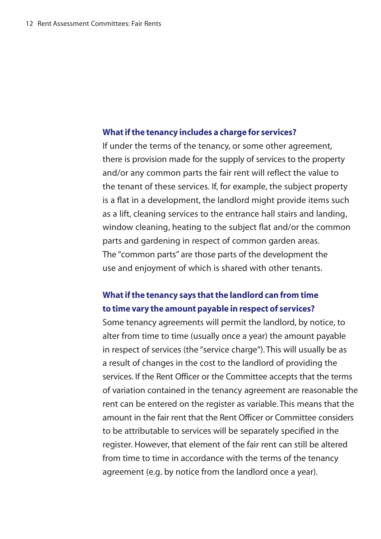#### **What if the tenancy includes a charge for services?**

If under the terms of the tenancy, or some other agreement, there is provision made for the supply of services to the property and/or any common parts the fair rent will reflect the value to the tenant of these services. If, for example, the subject property is a flat in a development, the landlord might provide items such as a lift, cleaning services to the entrance hall stairs and landing, window cleaning, heating to the subject flat and/or the common parts and gardening in respect of common garden areas. The "common parts" are those parts of the development the use and eniovment of which is shared with other tenants.

# **What if the tenancy says that the landlord can from time to time vary the amount payable in respect of services?**

Some tenancy agreements will permit the landlord, by notice, to alter from time to time (usually once a year) the amount payable in respect of services (the "service charge"). This will usually be as a result of changes in the cost to the landlord of providing the services. If the Rent Officer or the Committee accepts that the terms of variation contained in the tenancy agreement are reasonable the rent can be entered on the register as variable. This means that the amount in the fair rent that the Rent Officer or Committee considers to be attributable to services will be separately specified in the register. However, that element of the fair rent can still be altered from time to time in accordance with the terms of the tenancy agreement (e.g. by notice from the landlord once a year).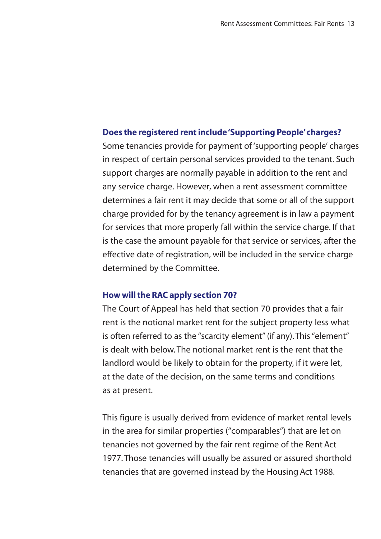#### **Does the registered rent include 'Supporting People' charges?**

Some tenancies provide for payment of 'supporting people' charges in respect of certain personal services provided to the tenant. Such support charges are normally payable in addition to the rent and any service charge. However, when a rent assessment committee determines a fair rent it may decide that some or all of the support charge provided for by the tenancy agreement is in law a payment for services that more properly fall within the service charge. If that is the case the amount payable for that service or services, after the effective date of registration, will be included in the service charge determined by the Committee.

### **How will the RAC apply section 70?**

The Court of Appeal has held that section 70 provides that a fair rent is the notional market rent for the subiect property less what is often referred to as the "scarcity element" (if any). This "element" is dealt with below. The notional market rent is the rent that the landlord would be likely to obtain for the property, if it were let, at the date of the decision, on the same terms and conditions as at present.

This figure is usually derived from evidence of market rental levels in the area for similar properties ("comparables") that are let on tenancies not governed by the fair rent regime of the Rent Act 1977. Those tenancies will usually be assured or assured shorthold tenancies that are governed instead by the Housing Act 1988.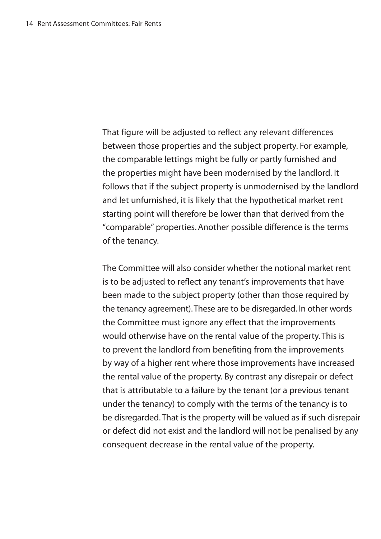That figure will be adjusted to reflect any relevant differences between those properties and the subject property. For example, the comparable lettings might be fully or partly furnished and the properties might have been modernised by the landlord. It follows that if the subject property is unmodernised by the landlord and let unfurnished, it is likely that the hypothetical market rent starting point will therefore be lower than that derived from the "comparable" properties. Another possible difference is the terms of the tenancy.

The Committee will also consider whether the notional market rent is to be adjusted to reflect any tenant's improvements that have been made to the subiect property (other than those required by the tenancy agreement). These are to be disregarded. In other words the Committee must ignore any effect that the improvements would otherwise have on the rental value of the property. This is to prevent the landlord from benefiting from the improvements by way of a higher rent where those improvements have increased the rental value of the property. By contrast any disrepair or defect that is attributable to a failure by the tenant (or a previous tenant under the tenancy) to comply with the terms of the tenancy is to be disregarded. That is the property will be valued as if such disrepair or defect did not exist and the landlord will not be penalised by any consequent decrease in the rental value of the property.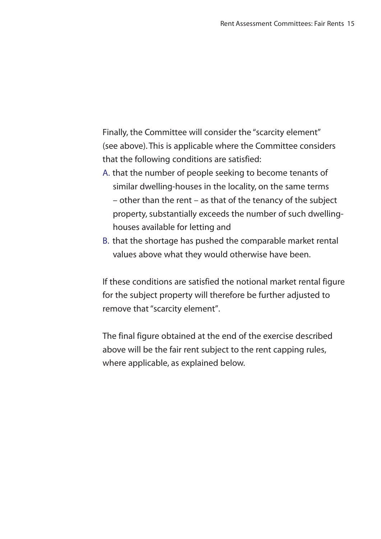Finally, the Committee will consider the "scarcity element" (see above). This is applicable where the Committee considers that the following conditions are satisfied:

- A. that the number of people seeking to become tenants of similar dwelling-houses in the locality, on the same terms  $-$  other than the rent  $-$  as that of the tenancy of the subject property, substantially exceeds the number of such dwellinghouses available for letting and
- B. that the shortage has pushed the comparable market rental values above what they would otherwise have been.

If these conditions are satisfied the notional market rental figure for the subject property will therefore be further adjusted to remove that "scarcity element".

The final figure obtained at the end of the exercise described above will be the fair rent subiect to the rent capping rules. where applicable, as explained below.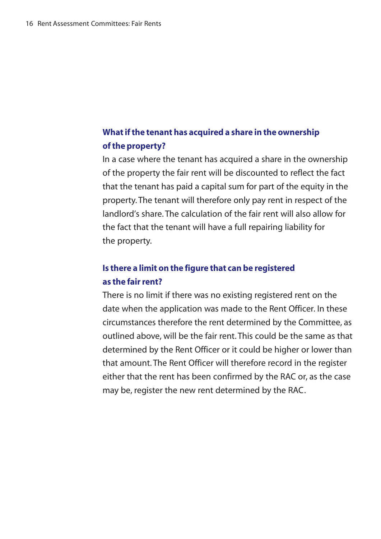# **What if the tenant has acquired a share in the ownership of the property?**

In a case where the tenant has acquired a share in the ownership of the property the fair rent will be discounted to reflect the fact that the tenant has paid a capital sum for part of the equity in the property. The tenant will therefore only pay rent in respect of the landlord's share The calculation of the fair rent will also allow for the fact that the tenant will have a full repairing liability for the property.

# **Is there a limit on the figure that can be registered as the fair rent?**

There is no limit if there was no existing registered rent on the date when the application was made to the Rent Officer. In these circumstances therefore the rent determined by the Committee, as outlined above, will be the fair rent. This could be the same as that determined by the Rent Officer or it could be higher or lower than that amount. The Rent Officer will therefore record in the register either that the rent has been confirmed by the RAC or, as the case may be, register the new rent determined by the RAC.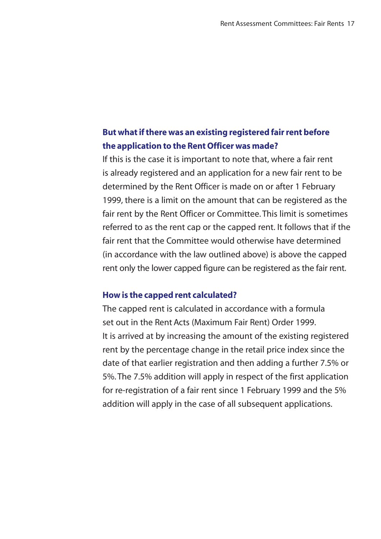# **But what if there was an existing registered fair rent before the application to the Rent Officer was made?**

If this is the case it is important to note that, where a fair rent is already registered and an application for a new fair rent to be determined by the Rent Officer is made on or after 1 February 1999, there is a limit on the amount that can be registered as the fair rent by the Rent Officer or Committee. This limit is sometimes referred to as the rent cap or the capped rent. It follows that if the fair rent that the Committee would otherwise have determined  $\sin$  accordance with the law outlined above) is above the capped rent only the lower capped figure can be registered as the fair rent.

### **How is the capped rent calculated?**

The capped rent is calculated in accordance with a formula set out in the Rent Acts (Maximum Fair Rent) Order 1999. It is arrived at by increasing the amount of the existing registered rent by the percentage change in the retail price index since the date of that earlier registration and then adding a further 7.5% or 5%. The 7.5% addition will apply in respect of the first application for re-registration of a fair rent since 1 February 1999 and the 5% addition will apply in the case of all subsequent applications.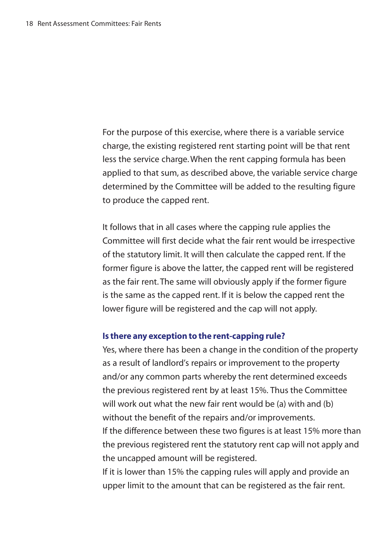For the purpose of this exercise, where there is a variable service charge, the existing registered rent starting point will be that rent less the service charge. When the rent capping formula has been applied to that sum, as described above, the variable service charge determined by the Committee will be added to the resulting figure to produce the capped rent.

It follows that in all cases where the capping rule applies the Committee will first decide what the fair rent would be irrespective of the statutory limit. It will then calculate the capped rent. If the former figure is above the latter, the capped rent will be registered as the fair rent. The same will obviously apply if the former figure is the same as the capped rent. If it is below the capped rent the lower figure will be registered and the cap will not apply.

## **Is there any exception to the rent-capping rule?**

Yes, where there has been a change in the condition of the property as a result of landlord's repairs or improvement to the property and/or any common parts whereby the rent determined exceeds the previous registered rent by at least 15%. Thus the Committee will work out what the new fair rent would be (a) with and (b) without the benefit of the repairs and/or improvements. If the difference between these two figures is at least 15% more than the previous registered rent the statutory rent cap will not apply and the uncapped amount will be registered.

If it is lower than 15% the capping rules will apply and provide an upper limit to the amount that can be registered as the fair rent.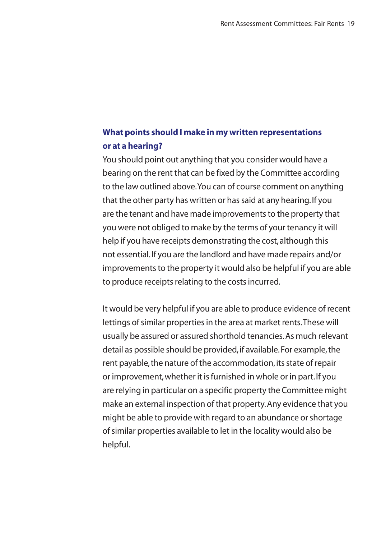# **What points should I make in my written representations or at a hearing?**

You should point out anything that you consider would have a bearing on the rent that can be fixed by the Committee according to the law outlined above. You can of course comment on anything that the other party has written or has said at any hearing. If you are the tenant and have made improvements to the property that you were not obliged to make by the terms of your tenancy it will help if you have receipts demonstrating the cost, although this not essential. If you are the landlord and have made repairs and/or improvements to the property it would also be helpful if you are able to produce receipts relating to the costs incurred.

It would be very helpful if you are able to produce evidence of recent lettings of similar properties in the area at market rents. These will usually be assured or assured shorthold tenancies. As much relevant detail as possible should be provided, if available. For example, the rent payable, the nature of the accommodation, its state of repair or improvement, whether it is furnished in whole or in part. If you are relying in particular on a specific property the Committee might make an external inspection of that property. Any evidence that you might be able to provide with regard to an abundance or shortage of similar properties available to let in the locality would also be helpful.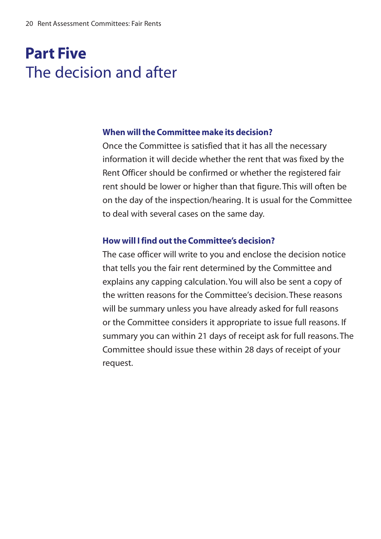# **Part Five** The decision and after

## When will the Committee make its decision?

Once the Committee is satisfied that it has all the necessary information it will decide whether the rent that was fixed by the Rent Officer should be confirmed or whether the registered fair rent should be lower or higher than that figure. This will often be on the day of the inspection/hearing. It is usual for the Committee to deal with several cases on the same day.

## How will I find out the Committee's decision?

The case officer will write to you and enclose the decision notice that tells you the fair rent determined by the Committee and explains any capping calculation. You will also be sent a copy of the written reasons for the Committee's decision. These reasons will be summary unless you have already asked for full reasons or the Committee considers it appropriate to issue full reasons. If summary you can within 21 days of receipt ask for full reasons. The Committee should issue these within 28 days of receipt of your reauest.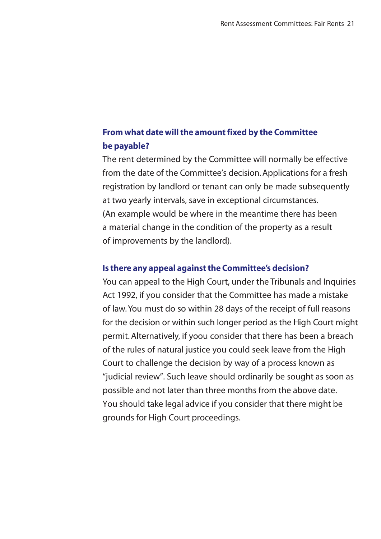# From what date will the amount fixed by the Committee be pavable?

The rent determined by the Committee will normally be effective from the date of the Committee's decision. Applications for a fresh registration by landlord or tenant can only be made subsequently at two vearly intervals, save in exceptional circumstances. (An example would be where in the meantime there has been a material change in the condition of the property as a result of improvements by the landlord).

#### Is there any appeal against the Committee's decision?

You can appeal to the High Court, under the Tribunals and Inquiries Act 1992, if you consider that the Committee has made a mistake of law. You must do so within 28 days of the receipt of full reasons for the decision or within such longer period as the High Court might permit. Alternatively, if yoou consider that there has been a breach of the rules of natural justice you could seek leave from the High Court to challenge the decision by way of a process known as "iudicial review". Such leave should ordinarily be sought as soon as possible and not later than three months from the above date. You should take legal advice if you consider that there might be arounds for High Court proceedings.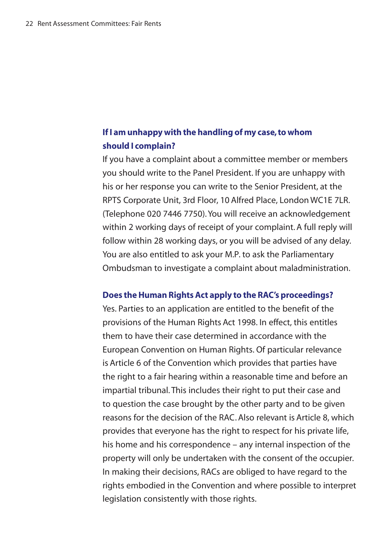# If I am unhappy with the handling of my case, to whom should I complain?

If you have a complaint about a committee member or members you should write to the Panel President. If you are unhappy with his or her response you can write to the Senior President, at the RPTS Corporate Unit, 3rd Floor, 10 Alfred Place, London WC1E 7LR. (Telephone 020 7446 7750). You will receive an acknowledgement within 2 working days of receipt of your complaint. A full reply will follow within 28 working days, or you will be advised of any delay. You are also entitled to ask your M.P. to ask the Parliamentary Ombudsman to investigate a complaint about maladministration.

#### Does the Human Rights Act apply to the RAC's proceedings?

Yes. Parties to an application are entitled to the benefit of the provisions of the Human Rights Act 1998. In effect, this entitles them to have their case determined in accordance with the European Convention on Human Rights, Of particular relevance is Article 6 of the Convention which provides that parties have the right to a fair hearing within a reasonable time and before an impartial tribunal. This includes their right to put their case and to question the case brought by the other party and to be given reasons for the decision of the RAC. Also relevant is Article 8, which provides that evervone has the right to respect for his private life. his home and his correspondence - any internal inspection of the property will only be undertaken with the consent of the occupier. In making their decisions, RACs are obliged to have regard to the rights embodied in the Convention and where possible to interpret legislation consistently with those rights.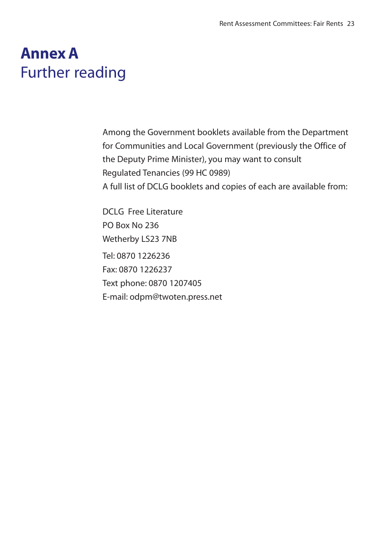# **Annex A Further reading**

Among the Government booklets available from the Department for Communities and Local Government (previously the Office of the Deputy Prime Minister), you may want to consult Regulated Tenancies (99 HC 0989) A full list of DCLG booklets and copies of each are available from:

DCLG Free Literature **PO Box No 236** Wetherby LS23 7NB Tel: 0870 1226236 Fax: 0870 1226237 Text phone: 0870 1207405 E-mail: odpm@twoten.press.net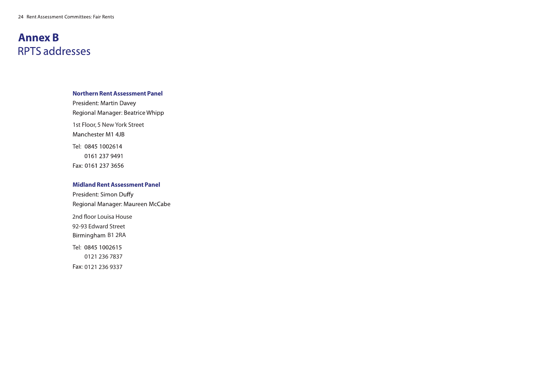# **Annex B RPTS** addresses

## **Northern Rent Assessment Panel**

President: Martin Davey Regional Manager: Beatrice Whipp 1st Floor, 5 New York Street Manchester M1 4JB Tel: 0845 1002614 0161 237 9491 Fax: 0161 237 3656

# **Midland Rent Assessment Panel**

President: Simon Duffy Regional Manager: Maureen McCabe 2nd floor Louisa House 92-93 Edward Street Birmingham B1 2RA Tel: 0845 1002615 0121 236 7837 Fax: 0121 236 9337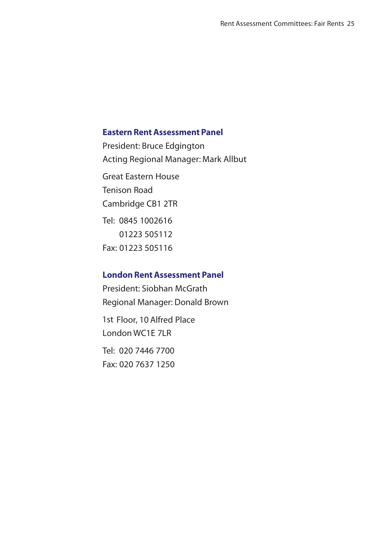## **Eastern Rent Assessment Panel**

President: Bruce Edgington Great Fastern House Tenison Road Cambridge CB1 2TR Tel: 0845 1002616 01223 505112 Fax: 01223 505116 Acting Regional Manager: Mark Allbut

# **London Rent Assessment Panel**

President: Siobhan McGrath Regional Manager: Donald Brown 1st Floor, 10 Alfred Place  $J$  ondon WC1E 7LR Tel: 020 7446 7700 Fax: 020 7637 1250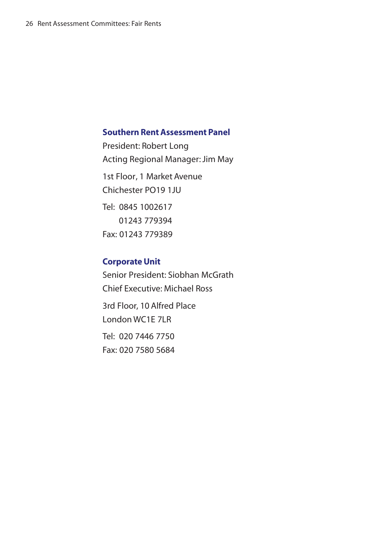## **Southern Rent Assessment Panel**

President: Robert Long 1st Floor, 1 Market Avenue Chichester PO19 1JU Tel: 0845 1002617 01243 779394 Fax: 01243 779389 Acting Regional Manager: Jim May

# **Corporate Unit**

Senior President: Siobhan McGrath Chief Executive: Michael Ross 3rd Floor, 10 Alfred Place London WC1E 7LR Tel: 020 7446 7750 Fax: 020 7580 5684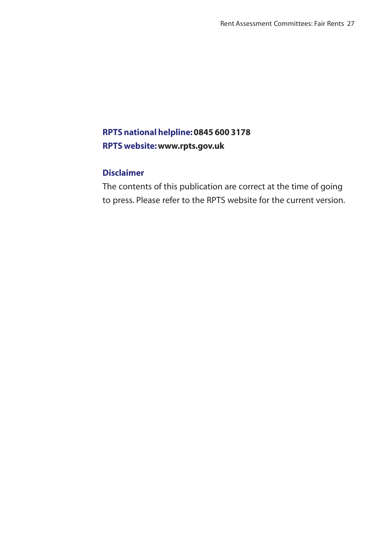# **RPTS national helpline: 0845 600 3178 RPTS website: www.rpts.gov.uk**

# **Disclaimer**

The contents of this publication are correct at the time of going to press. Please refer to the RPTS website for the current version.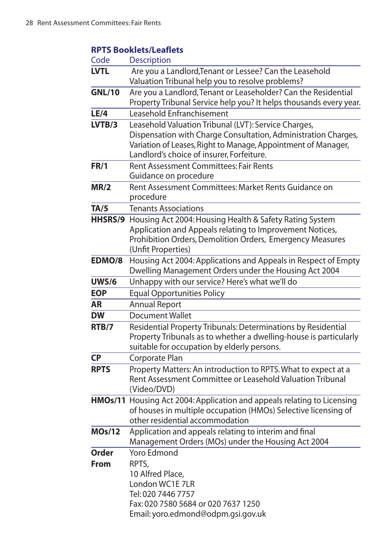# **RPTS Booklets/Leaflets**

| Code          | Description                                                                                                                                                                                                                          |
|---------------|--------------------------------------------------------------------------------------------------------------------------------------------------------------------------------------------------------------------------------------|
| <b>LVTL</b>   | Are you a Landlord, Tenant or Lessee? Can the Leasehold<br>Valuation Tribunal help you to resolve problems?                                                                                                                          |
| <b>GNL/10</b> | Are you a Landlord, Tenant or Leaseholder? Can the Residential<br>Property Tribunal Service help you? It helps thousands every year.                                                                                                 |
| LE/4          | Leasehold Enfranchisement                                                                                                                                                                                                            |
| LVTB/3        | Leasehold Valuation Tribunal (LVT): Service Charges,<br>Dispensation with Charge Consultation, Administration Charges,<br>Variation of Leases, Right to Manage, Appointment of Manager,<br>Landlord's choice of insurer, Forfeiture. |
| <b>FR/1</b>   | Rent Assessment Committees: Fair Rents<br>Guidance on procedure                                                                                                                                                                      |
| MR/2          | Rent Assessment Committees: Market Rents Guidance on<br>procedure                                                                                                                                                                    |
| TA/5          | <b>Tenants Associations</b>                                                                                                                                                                                                          |
| HHSRS/9       | Housing Act 2004: Housing Health & Safety Rating System<br>Application and Appeals relating to Improvement Notices,<br>Prohibition Orders, Demolition Orders, Emergency Measures<br>(Unfit Properties)                               |
| EDMO/8        | Housing Act 2004: Applications and Appeals in Respect of Empty<br>Dwelling Management Orders under the Housing Act 2004                                                                                                              |
| <b>UWS/6</b>  | Unhappy with our service? Here's what we'll do                                                                                                                                                                                       |
| <b>EOP</b>    | <b>Equal Opportunities Policy</b>                                                                                                                                                                                                    |
| AR            | <b>Annual Report</b>                                                                                                                                                                                                                 |
| <b>DW</b>     | Document Wallet                                                                                                                                                                                                                      |
| RTB/7         | Residential Property Tribunals: Determinations by Residential<br>Property Tribunals as to whether a dwelling-house is particularly<br>suitable for occupation by elderly persons.                                                    |
| <b>CP</b>     | Corporate Plan                                                                                                                                                                                                                       |
| <b>RPTS</b>   | Property Matters: An introduction to RPTS. What to expect at a<br>Rent Assessment Committee or Leasehold Valuation Tribunal<br>(Video/DVD)                                                                                           |
|               | HMOs/11 Housing Act 2004: Application and appeals relating to Licensing<br>of houses in multiple occupation (HMOs) Selective licensing of<br>other residential accommodation                                                         |
| <b>MOs/12</b> | Application and appeals relating to interim and final<br>Management Orders (MOs) under the Housing Act 2004                                                                                                                          |
| Order         | Yoro Edmond                                                                                                                                                                                                                          |
| <b>From</b>   | RPTS,<br>10 Alfred Place,<br>London WC1E 7LR<br>Tel: 020 7446 7757<br>Fax: 020 7580 5684 or 020 7637 1250<br>Email: yoro.edmond@odpm.gsi.gov.uk                                                                                      |